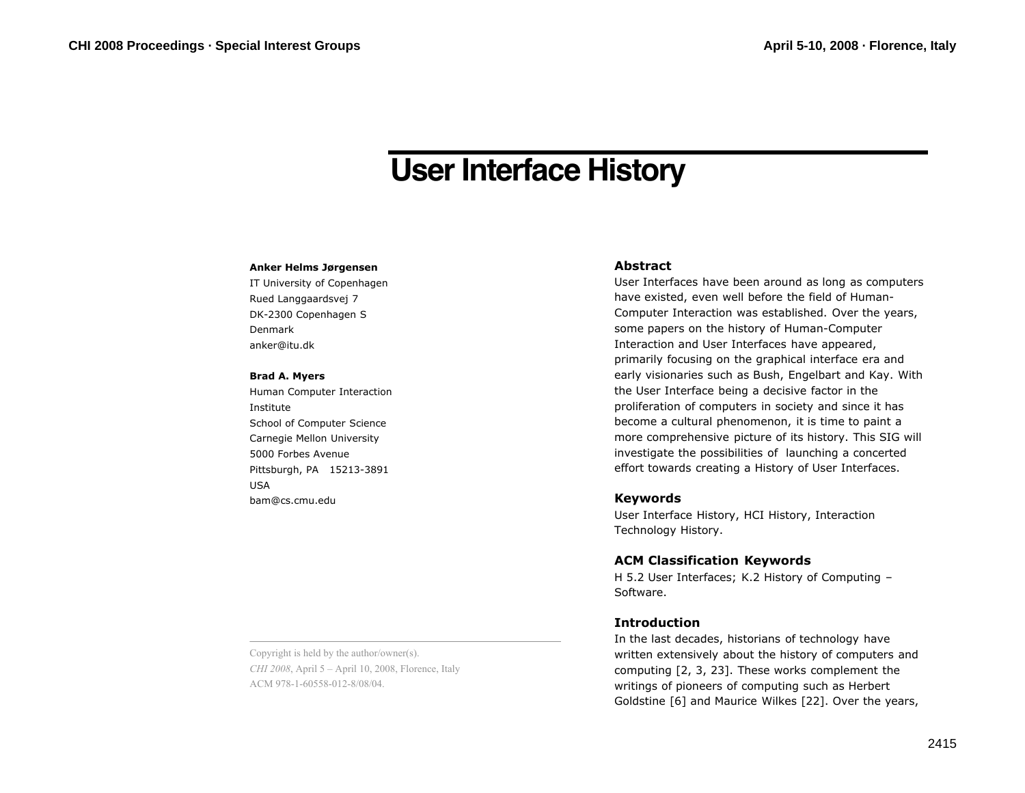# **User Interface History**

#### **Anker Helms Jørgensen**

IT University of Copenhagen Rued Langgaardsvej 7 DK-2300 Copenhagen S Denmark anker@itu.dk

#### **Brad A. Myers**

Human Computer Interaction Institute School of Computer Science Carnegie Mellon University 5000 Forbes Avenue Pittsburgh, PA 15213-3891 USA bam@cs.cmu.edu

### **Abstract**

User Interfaces have been around as long as computers have existed, even well before the field of Human-Computer Interaction was established. Over the years, some papers on the history of Human-Computer Interaction and User Interfaces have appeared, primarily focusing on the graphical interface era and early visionaries such as Bush, Engelbart and Kay. With the User Interface being a decisive factor in the proliferation of computers in society and since it has become a cultural phenomenon, it is time to paint a more comprehensive picture of its history. This SIG will investigate the possibilities of launching a concerted effort towards creating a History of User Interfaces.

#### **Keywords**

User Interface History, HCI History, Interaction Technology History.

# **ACM Classification Keywords**

H 5.2 User Interfaces; K.2 History of Computing – Software.

## **Introduction**

In the last decades, historians of technology have written extensively about the history of computers and computing [2, 3, 23]. These works complement the writings of pioneers of computing such as Herbert Goldstine [6] and Maurice Wilkes [22]. Over the years,

Copyright is held by the author/owner(s). *CHI 2008*, April 5 – April 10, 2008, Florence, Italy ACM 978-1-60558-012-8/08/04.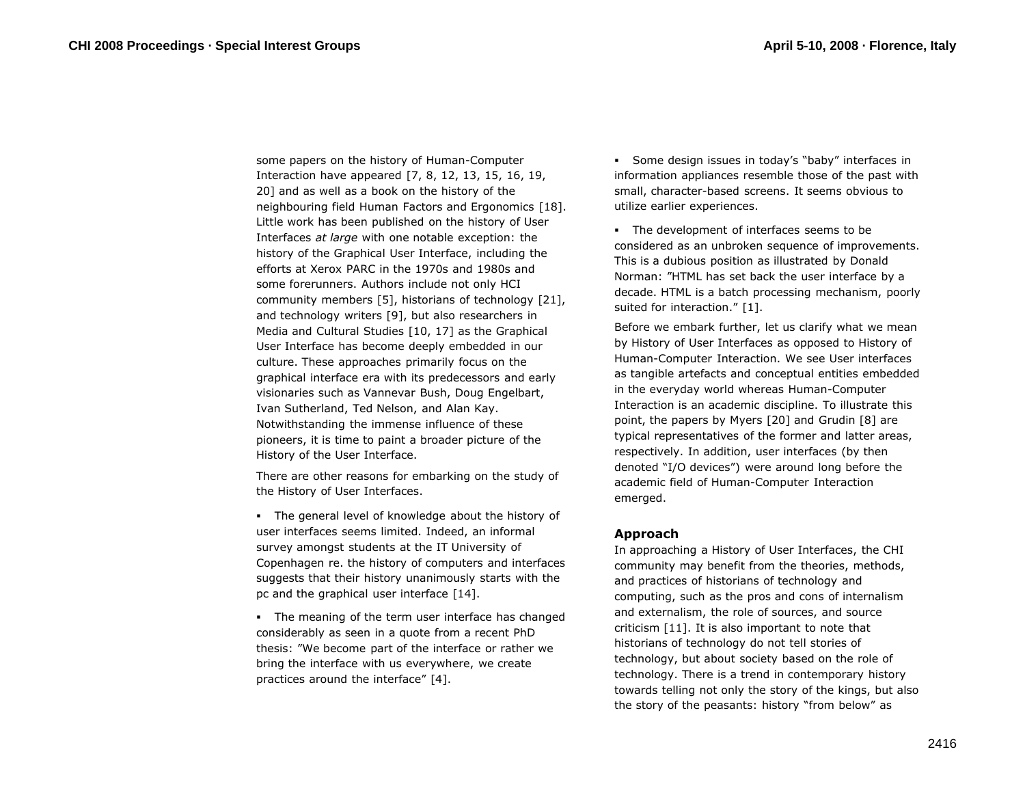some papers on the history of Human-Computer Interaction have appeared [7, 8, 12, 13, 15, 16, 19, 20] and as well as a book on the history of the neighbouring field Human Factors and Ergonomics [18]. Little work has been published on the history of User Interfaces *at large* with one notable exception: the history of the Graphical User Interface, including the efforts at Xerox PARC in the 1970s and 1980s and some forerunners. Authors include not only HCI community members [5], historians of technology [21], and technology writers [9], but also researchers in Media and Cultural Studies [10, 17] as the Graphical User Interface has become deeply embedded in our culture. These approaches primarily focus on the graphical interface era with its predecessors and early visionaries such as Vannevar Bush, Doug Engelbart, Ivan Sutherland, Ted Nelson, and Alan Kay. Notwithstanding the immense influence of these pioneers, it is time to paint a broader picture of the History of the User Interface.

There are other reasons for embarking on the study of the History of User Interfaces.

 The general level of knowledge about the history of user interfaces seems limited. Indeed, an informal survey amongst students at the IT University of Copenhagen re. the history of computers and interfaces suggests that their history unanimously starts with the pc and the graphical user interface [14].

The meaning of the term user interface has changed considerably as seen in a quote from a recent PhD thesis: "We become part of the interface or rather we bring the interface with us everywhere, we create practices around the interface" [4].

 Some design issues in today's "baby" interfaces in information appliances resemble those of the past with small, character-based screens. It seems obvious to utilize earlier experiences.

 The development of interfaces seems to be considered as an unbroken sequence of improvements. This is a dubious position as illustrated by Donald Norman: "HTML has set back the user interface by a decade. HTML is a batch processing mechanism, poorly suited for interaction." [1].

Before we embark further, let us clarify what we mean by History of User Interfaces as opposed to History of Human-Computer Interaction. We see User interfaces as tangible artefacts and conceptual entities embedded in the everyday world whereas Human-Computer Interaction is an academic discipline. To illustrate this point, the papers by Myers [20] and Grudin [8] are typical representatives of the former and latter areas, respectively. In addition, user interfaces (by then denoted "I/O devices") were around long before the academic field of Human-Computer Interaction emerged.

## **Approach**

In approaching a History of User Interfaces, the CHI community may benefit from the theories, methods, and practices of historians of technology and computing, such as the pros and cons of internalism and externalism, the role of sources, and source criticism [11]. It is also important to note that historians of technology do not tell stories of technology, but about society based on the role of technology. There is a trend in contemporary history towards telling not only the story of the kings, but also the story of the peasants: history "from below" as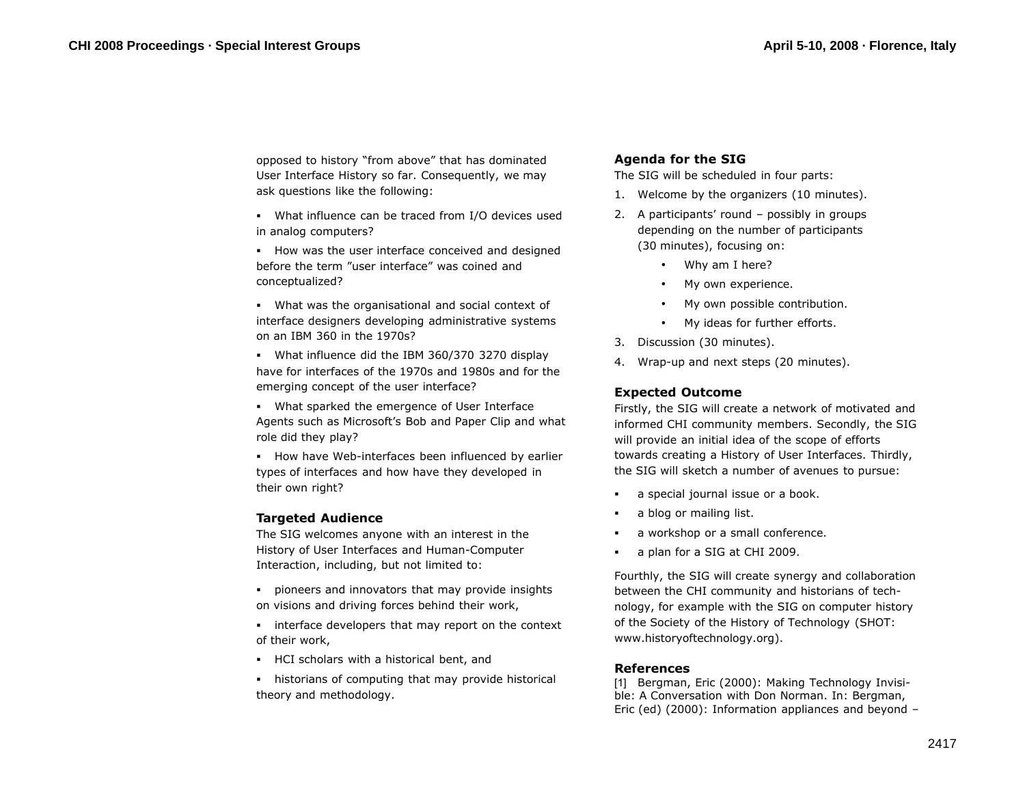opposed to history "from above" that has dominated User Interface History so far. Consequently, we may ask questions like the following:

- What influence can be traced from I/O devices used in analog computers?
- **How was the user interface conceived and designed** before the term "user interface" was coined and conceptualized?

 What was the organisational and social context of interface designers developing administrative systems on an IBM 360 in the 1970s?

 What influence did the IBM 360/370 3270 display have for interfaces of the 1970s and 1980s and for the emerging concept of the user interface?

 What sparked the emergence of User Interface Agents such as Microsoft's Bob and Paper Clip and what role did they play?

**How have Web-interfaces been influenced by earlier** types of interfaces and how have they developed in their own right?

# **Targeted Audience**

The SIG welcomes anyone with an interest in the History of User Interfaces and Human-Computer Interaction, including, but not limited to:

 pioneers and innovators that may provide insights on visions and driving forces behind their work,

- interface developers that may report on the context of their work,
- HCI scholars with a historical bent, and

 historians of computing that may provide historical theory and methodology.

# **Agenda for the SIG**

The SIG will be scheduled in four parts:

- 1. Welcome by the organizers (10 minutes).
- 2. A participants' round possibly in groups depending on the number of participants (30 minutes), focusing on:
	- Why am I here?
	- My own experience.
	- My own possible contribution.
	- My ideas for further efforts.
- 3. Discussion (30 minutes).
- 4. Wrap-up and next steps (20 minutes).

# **Expected Outcome**

Firstly, the SIG will create a network of motivated and informed CHI community members. Secondly, the SIG will provide an initial idea of the scope of efforts towards creating a History of User Interfaces. Thirdly, the SIG will sketch a number of avenues to pursue:

- a special journal issue or a book.
- a blog or mailing list.
- a workshop or a small conference.
- a plan for a SIG at CHI 2009.

Fourthly, the SIG will create synergy and collaboration between the CHI community and historians of technology, for example with the SIG on computer history of the Society of the History of Technology (SHOT: www.historyoftechnology.org).

# **References**

[1] Bergman, Eric (2000): Making Technology Invisible: A Conversation with Don Norman. In: Bergman, Eric (ed) (2000): Information appliances and beyond –